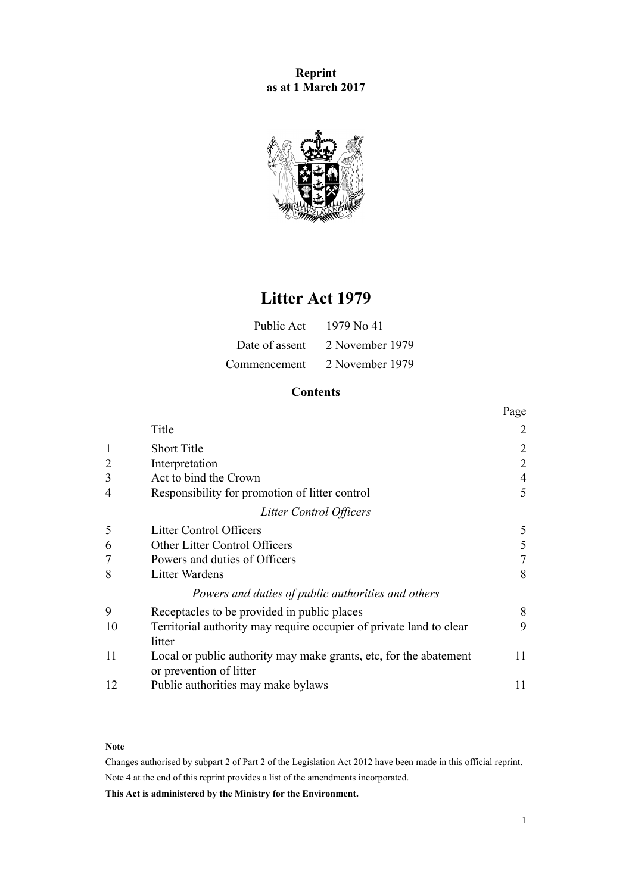**Reprint as at 1 March 2017**



# **Litter Act 1979**

| Public Act     | 1979 No 41      |
|----------------|-----------------|
| Date of assent | 2 November 1979 |
| Commencement   | 2 November 1979 |

# **Contents**

|                |                                                                     | Page           |
|----------------|---------------------------------------------------------------------|----------------|
|                | Title                                                               | $\overline{2}$ |
|                | <b>Short Title</b>                                                  | $\overline{2}$ |
| $\overline{2}$ | Interpretation                                                      | $\overline{2}$ |
| 3              | Act to bind the Crown                                               | $\overline{4}$ |
| 4              | Responsibility for promotion of litter control                      | 5              |
|                | Litter Control Officers                                             |                |
| 5              | <b>Litter Control Officers</b>                                      | 5              |
| 6              | Other Litter Control Officers                                       | 5              |
|                | Powers and duties of Officers                                       | 7              |
| 8              | <b>Litter Wardens</b>                                               | 8              |
|                | Powers and duties of public authorities and others                  |                |
| 9              | Receptacles to be provided in public places                         | 8              |
| 10             | Territorial authority may require occupier of private land to clear | 9              |
|                | litter                                                              |                |
| 11             | Local or public authority may make grants, etc, for the abatement   | 11             |
|                | or prevention of litter                                             |                |
| 12             | Public authorities may make bylaws                                  | 11             |

# **Note**

Changes authorised by [subpart 2](http://prd-lgnz-nlb.prd.pco.net.nz/pdflink.aspx?id=DLM2998524) of Part 2 of the Legislation Act 2012 have been made in this official reprint. Note 4 at the end of this reprint provides a list of the amendments incorporated.

**This Act is administered by the Ministry for the Environment.**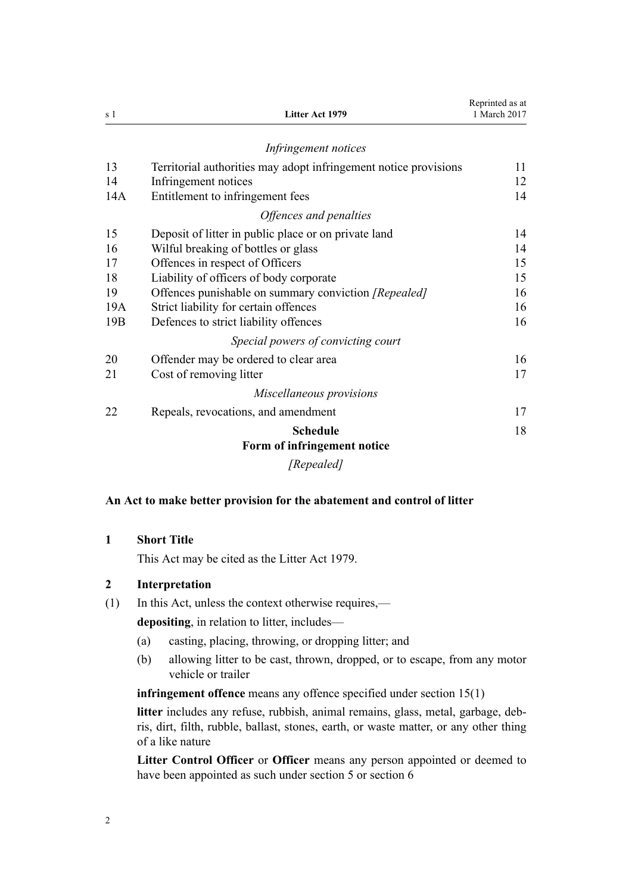<span id="page-1-0"></span>

| s 1 | Litter Act 1979                                                  | Reprinted as at<br>1 March 2017 |
|-----|------------------------------------------------------------------|---------------------------------|
|     | Infringement notices                                             |                                 |
| 13  | Territorial authorities may adopt infringement notice provisions | 11                              |
| 14  | Infringement notices                                             | 12                              |
| 14A | Entitlement to infringement fees                                 | 14                              |
|     | Offences and penalties                                           |                                 |
| 15  | Deposit of litter in public place or on private land             | 14                              |
| 16  | Wilful breaking of bottles or glass                              | 14                              |
| 17  | Offences in respect of Officers                                  | 15                              |
| 18  | Liability of officers of body corporate                          | 15                              |
| 19  | Offences punishable on summary conviction [Repealed]             | 16                              |
| 19A | Strict liability for certain offences                            | 16                              |
| 19B | Defences to strict liability offences                            | 16                              |
|     | Special powers of convicting court                               |                                 |
| 20  | Offender may be ordered to clear area                            | 16                              |
| 21  | Cost of removing litter                                          | 17                              |
|     | Miscellaneous provisions                                         |                                 |
| 22  | Repeals, revocations, and amendment                              | 17                              |
|     | <b>Schedule</b>                                                  | 18                              |
|     | Form of infringement notice                                      |                                 |
|     | [Repealed]                                                       |                                 |

# **An Act to make better provision for the abatement and control of litter**

# **1 Short Title**

This Act may be cited as the Litter Act 1979.

# **2 Interpretation**

(1) In this Act, unless the context otherwise requires,—

**depositing**, in relation to litter, includes—

- (a) casting, placing, throwing, or dropping litter; and
- (b) allowing litter to be cast, thrown, dropped, or to escape, from any motor vehicle or trailer

**infringement offence** means any offence specified under [section 15\(1\)](#page-13-0)

**litter** includes any refuse, rubbish, animal remains, glass, metal, garbage, debris, dirt, filth, rubble, ballast, stones, earth, or waste matter, or any other thing of a like nature

**Litter Control Officer** or **Officer** means any person appointed or deemed to have been appointed as such under [section 5](#page-4-0) or [section 6](#page-4-0)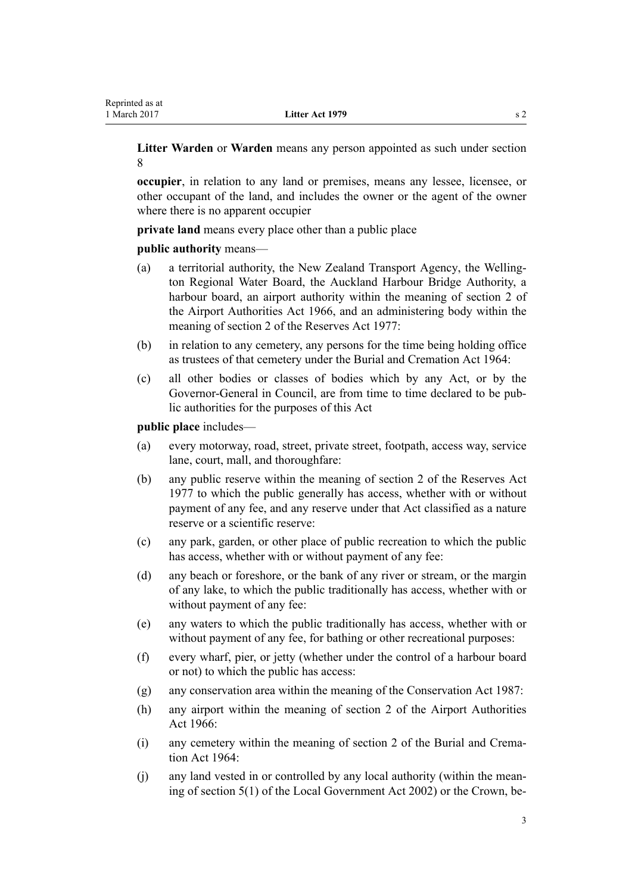**Litter Warden** or **Warden** means any person appointed as such under [section](#page-7-0) [8](#page-7-0)

**occupier**, in relation to any land or premises, means any lessee, licensee, or other occupant of the land, and includes the owner or the agent of the owner where there is no apparent occupier

**private land** means every place other than a public place

**public authority** means—

- (a) a territorial authority, the New Zealand Transport Agency, the Wellington Regional Water Board, the Auckland Harbour Bridge Authority, a harbour board, an airport authority within the meaning of [section 2](http://prd-lgnz-nlb.prd.pco.net.nz/pdflink.aspx?id=DLM379829) of the Airport Authorities Act 1966, and an administering body within the meaning of [section 2](http://prd-lgnz-nlb.prd.pco.net.nz/pdflink.aspx?id=DLM444310) of the Reserves Act 1977:
- (b) in relation to any cemetery, any persons for the time being holding office as trustees of that cemetery under the [Burial and Cremation Act 1964](http://prd-lgnz-nlb.prd.pco.net.nz/pdflink.aspx?id=DLM355078):
- (c) all other bodies or classes of bodies which by any Act, or by the Governor-General in Council, are from time to time declared to be public authorities for the purposes of this Act

**public place** includes—

- (a) every motorway, road, street, private street, footpath, access way, service lane, court, mall, and thoroughfare:
- (b) any public reserve within the meaning of [section 2](http://prd-lgnz-nlb.prd.pco.net.nz/pdflink.aspx?id=DLM444310) of the Reserves Act 1977 to which the public generally has access, whether with or without payment of any fee, and any reserve under that Act classified as a nature reserve or a scientific reserve:
- (c) any park, garden, or other place of public recreation to which the public has access, whether with or without payment of any fee:
- (d) any beach or foreshore, or the bank of any river or stream, or the margin of any lake, to which the public traditionally has access, whether with or without payment of any fee:
- (e) any waters to which the public traditionally has access, whether with or without payment of any fee, for bathing or other recreational purposes:
- (f) every wharf, pier, or jetty (whether under the control of a harbour board or not) to which the public has access:
- (g) any conservation area within the meaning of the [Conservation Act 1987](http://prd-lgnz-nlb.prd.pco.net.nz/pdflink.aspx?id=DLM103609):
- (h) any airport within the meaning of [section 2](http://prd-lgnz-nlb.prd.pco.net.nz/pdflink.aspx?id=DLM379829) of the Airport Authorities Act 1966:
- (i) any cemetery within the meaning of [section 2](http://prd-lgnz-nlb.prd.pco.net.nz/pdflink.aspx?id=DLM355084) of the Burial and Cremation Act 1964:
- (j) any land vested in or controlled by any local authority (within the meaning of [section 5\(1\)](http://prd-lgnz-nlb.prd.pco.net.nz/pdflink.aspx?id=DLM170881) of the Local Government Act 2002) or the Crown, be-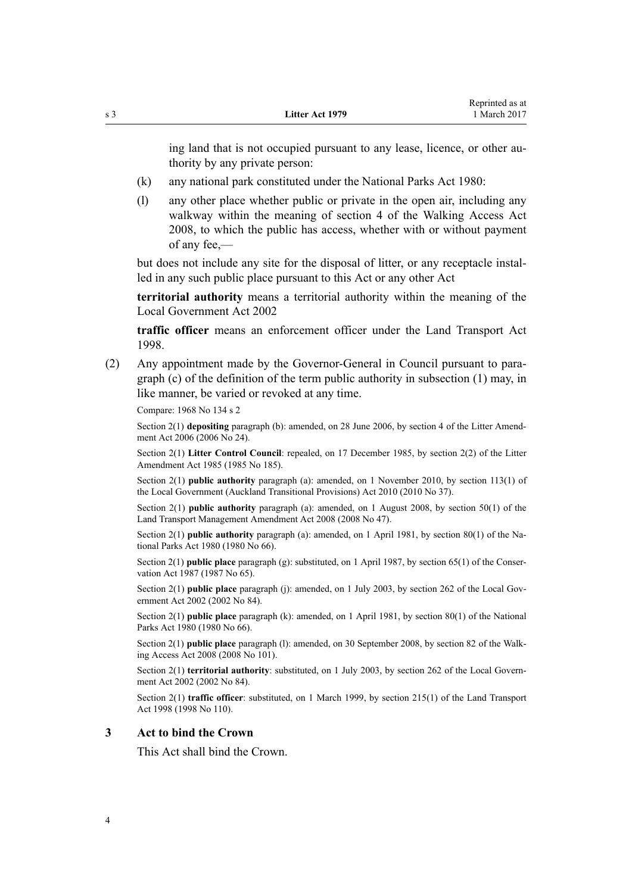<span id="page-3-0"></span>ing land that is not occupied pursuant to any lease, licence, or other authority by any private person:

- (k) any national park constituted under the [National Parks Act 1980:](http://prd-lgnz-nlb.prd.pco.net.nz/pdflink.aspx?id=DLM36962)
- (l) any other place whether public or private in the open air, including any walkway within the meaning of [section 4](http://prd-lgnz-nlb.prd.pco.net.nz/pdflink.aspx?id=DLM1244023) of the Walking Access Act 2008, to which the public has access, whether with or without payment of any fee,—

but does not include any site for the disposal of litter, or any receptacle installed in any such public place pursuant to this Act or any other Act

**territorial authority** means a territorial authority within the meaning of the [Local Government Act 2002](http://prd-lgnz-nlb.prd.pco.net.nz/pdflink.aspx?id=DLM170872)

**traffic officer** means an enforcement officer under the [Land Transport Act](http://prd-lgnz-nlb.prd.pco.net.nz/pdflink.aspx?id=DLM433612) [1998](http://prd-lgnz-nlb.prd.pco.net.nz/pdflink.aspx?id=DLM433612).

(2) Any appointment made by the Governor-General in Council pursuant to paragraph (c) of the definition of the term public authority in subsection (1) may, in like manner, be varied or revoked at any time.

Compare: 1968 No 134 s 2

Section 2(1) **depositing** paragraph (b): amended, on 28 June 2006, by [section 4](http://prd-lgnz-nlb.prd.pco.net.nz/pdflink.aspx?id=DLM373585) of the Litter Amendment Act 2006 (2006 No 24).

Section 2(1) **Litter Control Council**: repealed, on 17 December 1985, by section 2(2) of the Litter Amendment Act 1985 (1985 No 185).

Section 2(1) **public authority** paragraph (a): amended, on 1 November 2010, by [section 113\(1\)](http://prd-lgnz-nlb.prd.pco.net.nz/pdflink.aspx?id=DLM3016880) of the Local Government (Auckland Transitional Provisions) Act 2010 (2010 No 37).

Section 2(1) **public authority** paragraph (a): amended, on 1 August 2008, by [section 50\(1\)](http://prd-lgnz-nlb.prd.pco.net.nz/pdflink.aspx?id=DLM1313622) of the Land Transport Management Amendment Act 2008 (2008 No 47).

Section 2(1) **public authority** paragraph (a): amended, on 1 April 1981, by [section 80\(1\)](http://prd-lgnz-nlb.prd.pco.net.nz/pdflink.aspx?id=DLM38526) of the National Parks Act 1980 (1980 No 66).

Section 2(1) **public place** paragraph (g): substituted, on 1 April 1987, by [section 65\(1\)](http://prd-lgnz-nlb.prd.pco.net.nz/pdflink.aspx?id=DLM106995) of the Conservation Act 1987 (1987 No 65).

Section 2(1) **public place** paragraph (j): amended, on 1 July 2003, by [section 262](http://prd-lgnz-nlb.prd.pco.net.nz/pdflink.aspx?id=DLM174088) of the Local Government Act 2002 (2002 No 84).

Section 2(1) **public place** paragraph (k): amended, on 1 April 1981, by [section 80\(1\)](http://prd-lgnz-nlb.prd.pco.net.nz/pdflink.aspx?id=DLM38526) of the National Parks Act 1980 (1980 No 66).

Section 2(1) **public place** paragraph (l): amended, on 30 September 2008, by [section 82](http://prd-lgnz-nlb.prd.pco.net.nz/pdflink.aspx?id=DLM1244216) of the Walking Access Act 2008 (2008 No 101).

Section 2(1) **territorial authority**: substituted, on 1 July 2003, by [section 262](http://prd-lgnz-nlb.prd.pco.net.nz/pdflink.aspx?id=DLM174088) of the Local Government Act 2002 (2002 No 84).

Section 2(1) **traffic officer**: substituted, on 1 March 1999, by [section 215\(1\)](http://prd-lgnz-nlb.prd.pco.net.nz/pdflink.aspx?id=DLM435656) of the Land Transport Act 1998 (1998 No 110).

#### **3 Act to bind the Crown**

This Act shall bind the Crown.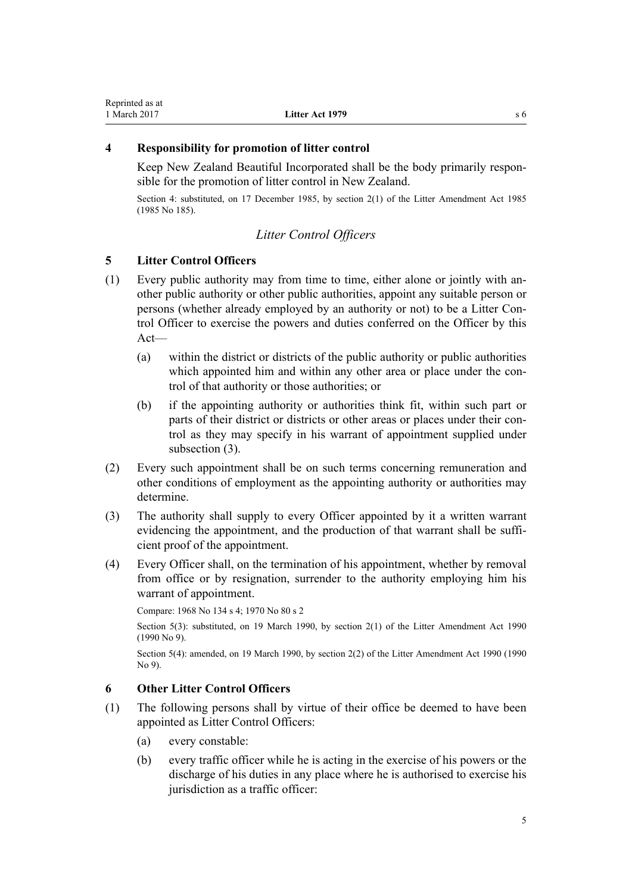# <span id="page-4-0"></span>**4 Responsibility for promotion of litter control**

Keep New Zealand Beautiful Incorporated shall be the body primarily responsible for the promotion of litter control in New Zealand.

Section 4: substituted, on 17 December 1985, by section 2(1) of the Litter Amendment Act 1985 (1985 No 185).

# *Litter Control Officers*

# **5 Litter Control Officers**

- (1) Every public authority may from time to time, either alone or jointly with another public authority or other public authorities, appoint any suitable person or persons (whether already employed by an authority or not) to be a Litter Control Officer to exercise the powers and duties conferred on the Officer by this Act—
	- (a) within the district or districts of the public authority or public authorities which appointed him and within any other area or place under the control of that authority or those authorities; or
	- (b) if the appointing authority or authorities think fit, within such part or parts of their district or districts or other areas or places under their control as they may specify in his warrant of appointment supplied under subsection (3).
- (2) Every such appointment shall be on such terms concerning remuneration and other conditions of employment as the appointing authority or authorities may determine.
- (3) The authority shall supply to every Officer appointed by it a written warrant evidencing the appointment, and the production of that warrant shall be sufficient proof of the appointment.
- (4) Every Officer shall, on the termination of his appointment, whether by removal from office or by resignation, surrender to the authority employing him his warrant of appointment.

Compare: 1968 No 134 s 4; 1970 No 80 s 2

Section 5(3): substituted, on 19 March 1990, by [section 2\(1\)](http://prd-lgnz-nlb.prd.pco.net.nz/pdflink.aspx?id=DLM203544) of the Litter Amendment Act 1990  $(1990 N<sub>0</sub> 9)$ .

Section 5(4): amended, on 19 March 1990, by [section 2\(2\)](http://prd-lgnz-nlb.prd.pco.net.nz/pdflink.aspx?id=DLM203544) of the Litter Amendment Act 1990 (1990 No 9).

# **6 Other Litter Control Officers**

- (1) The following persons shall by virtue of their office be deemed to have been appointed as Litter Control Officers:
	- (a) every constable:
	- (b) every traffic officer while he is acting in the exercise of his powers or the discharge of his duties in any place where he is authorised to exercise his jurisdiction as a traffic officer: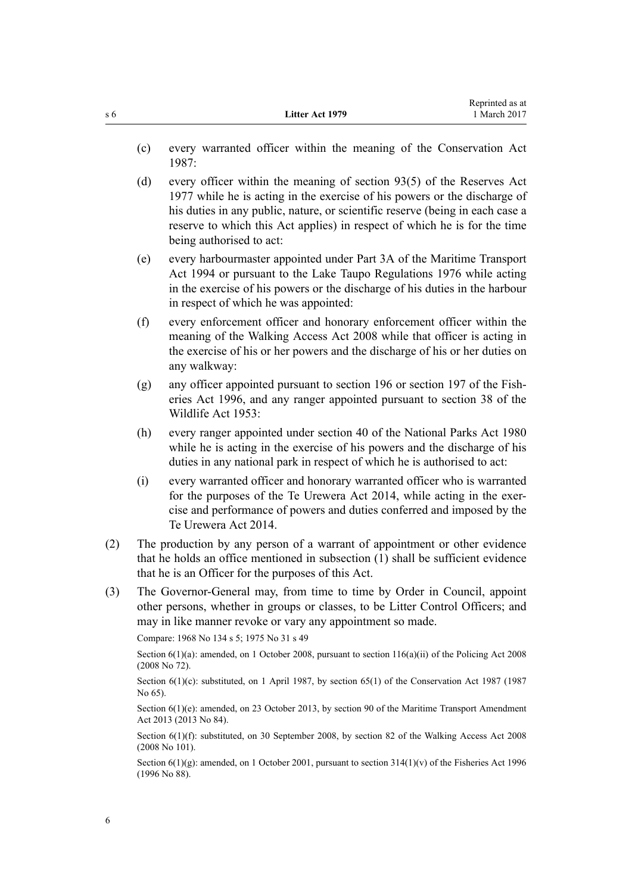- (c) every warranted officer within the meaning of the [Conservation Act](http://prd-lgnz-nlb.prd.pco.net.nz/pdflink.aspx?id=DLM103609) [1987](http://prd-lgnz-nlb.prd.pco.net.nz/pdflink.aspx?id=DLM103609):
- (d) every officer within the meaning of [section 93\(5\)](http://prd-lgnz-nlb.prd.pco.net.nz/pdflink.aspx?id=DLM444968) of the Reserves Act 1977 while he is acting in the exercise of his powers or the discharge of his duties in any public, nature, or scientific reserve (being in each case a reserve to which this Act applies) in respect of which he is for the time being authorised to act:
- (e) every harbourmaster appointed under [Part 3A](http://prd-lgnz-nlb.prd.pco.net.nz/pdflink.aspx?id=DLM5689750) of the Maritime Transport Act 1994 or pursuant to the Lake Taupo Regulations 1976 while acting in the exercise of his powers or the discharge of his duties in the harbour in respect of which he was appointed:
- (f) every enforcement officer and honorary enforcement officer within the meaning of the [Walking Access Act 2008](http://prd-lgnz-nlb.prd.pco.net.nz/pdflink.aspx?id=DLM1244000) while that officer is acting in the exercise of his or her powers and the discharge of his or her duties on any walkway:
- (g) any officer appointed pursuant to [section 196](http://prd-lgnz-nlb.prd.pco.net.nz/pdflink.aspx?id=DLM398601) or [section 197](http://prd-lgnz-nlb.prd.pco.net.nz/pdflink.aspx?id=DLM398602) of the Fisheries Act 1996, and any ranger appointed pursuant to [section 38](http://prd-lgnz-nlb.prd.pco.net.nz/pdflink.aspx?id=DLM277803) of the Wildlife Act 1953:
- (h) every ranger appointed under [section 40](http://prd-lgnz-nlb.prd.pco.net.nz/pdflink.aspx?id=DLM37984) of the National Parks Act 1980 while he is acting in the exercise of his powers and the discharge of his duties in any national park in respect of which he is authorised to act:
- (i) every warranted officer and honorary warranted officer who is warranted for the purposes of the [Te Urewera Act 2014](http://prd-lgnz-nlb.prd.pco.net.nz/pdflink.aspx?id=DLM6183600), while acting in the exercise and performance of powers and duties conferred and imposed by the Te Urewera Act 2014.
- (2) The production by any person of a warrant of appointment or other evidence that he holds an office mentioned in subsection (1) shall be sufficient evidence that he is an Officer for the purposes of this Act.
- (3) The Governor-General may, from time to time by Order in Council, appoint other persons, whether in groups or classes, to be Litter Control Officers; and may in like manner revoke or vary any appointment so made.

Compare: 1968 No 134 s 5; 1975 No 31 s 49

Section 6(1)(a): amended, on 1 October 2008, pursuant to [section 116\(a\)\(ii\)](http://prd-lgnz-nlb.prd.pco.net.nz/pdflink.aspx?id=DLM1102349) of the Policing Act 2008 (2008 No 72).

Section 6(1)(c): substituted, on 1 April 1987, by [section 65\(1\)](http://prd-lgnz-nlb.prd.pco.net.nz/pdflink.aspx?id=DLM106995) of the Conservation Act 1987 (1987) No 65).

Section 6(1)(e): amended, on 23 October 2013, by [section 90](http://prd-lgnz-nlb.prd.pco.net.nz/pdflink.aspx?id=DLM4698973) of the Maritime Transport Amendment Act 2013 (2013 No 84).

Section 6(1)(f): substituted, on 30 September 2008, by [section 82](http://prd-lgnz-nlb.prd.pco.net.nz/pdflink.aspx?id=DLM1244216) of the Walking Access Act 2008 (2008 No 101).

Section  $6(1)(g)$ : amended, on 1 October 2001, pursuant to section  $314(1)(v)$  of the Fisheries Act 1996 (1996 No 88).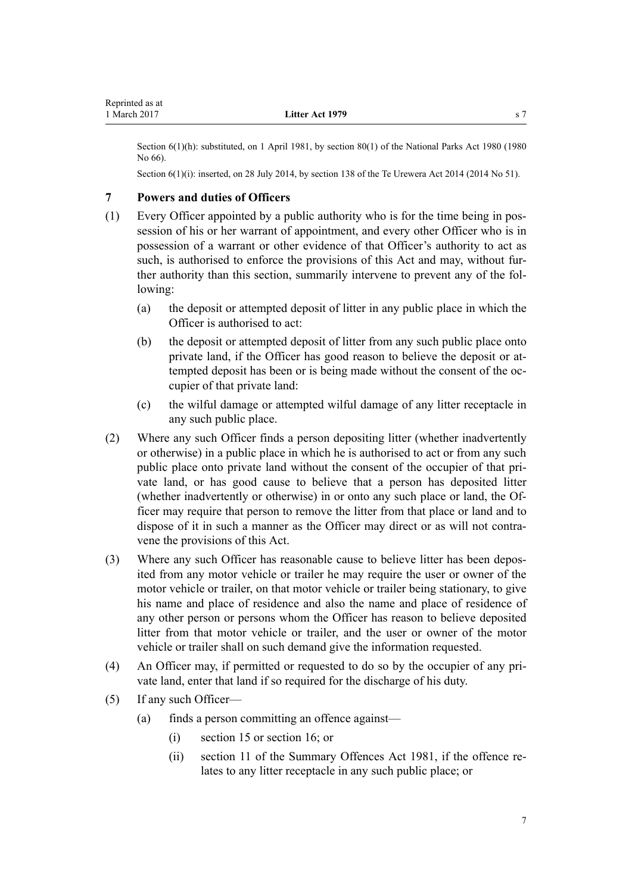<span id="page-6-0"></span>Section 6(1)(h): substituted, on 1 April 1981, by [section 80\(1\)](http://prd-lgnz-nlb.prd.pco.net.nz/pdflink.aspx?id=DLM38526) of the National Parks Act 1980 (1980) No 66).

Section 6(1)(i): inserted, on 28 July 2014, by [section 138](http://prd-lgnz-nlb.prd.pco.net.nz/pdflink.aspx?id=DLM6183949) of the Te Urewera Act 2014 (2014 No 51).

# **7 Powers and duties of Officers**

- (1) Every Officer appointed by a public authority who is for the time being in possession of his or her warrant of appointment, and every other Officer who is in possession of a warrant or other evidence of that Officer's authority to act as such, is authorised to enforce the provisions of this Act and may, without further authority than this section, summarily intervene to prevent any of the following:
	- (a) the deposit or attempted deposit of litter in any public place in which the Officer is authorised to act:
	- (b) the deposit or attempted deposit of litter from any such public place onto private land, if the Officer has good reason to believe the deposit or attempted deposit has been or is being made without the consent of the occupier of that private land:
	- (c) the wilful damage or attempted wilful damage of any litter receptacle in any such public place.
- (2) Where any such Officer finds a person depositing litter (whether inadvertently or otherwise) in a public place in which he is authorised to act or from any such public place onto private land without the consent of the occupier of that private land, or has good cause to believe that a person has deposited litter (whether inadvertently or otherwise) in or onto any such place or land, the Officer may require that person to remove the litter from that place or land and to dispose of it in such a manner as the Officer may direct or as will not contravene the provisions of this Act.
- (3) Where any such Officer has reasonable cause to believe litter has been deposited from any motor vehicle or trailer he may require the user or owner of the motor vehicle or trailer, on that motor vehicle or trailer being stationary, to give his name and place of residence and also the name and place of residence of any other person or persons whom the Officer has reason to believe deposited litter from that motor vehicle or trailer, and the user or owner of the motor vehicle or trailer shall on such demand give the information requested.
- (4) An Officer may, if permitted or requested to do so by the occupier of any private land, enter that land if so required for the discharge of his duty.
- (5) If any such Officer—
	- (a) finds a person committing an offence against—
		- (i) [section 15](#page-13-0) or [section 16](#page-13-0); or
		- (ii) [section 11](http://prd-lgnz-nlb.prd.pco.net.nz/pdflink.aspx?id=DLM53538) of the Summary Offences Act 1981, if the offence relates to any litter receptacle in any such public place; or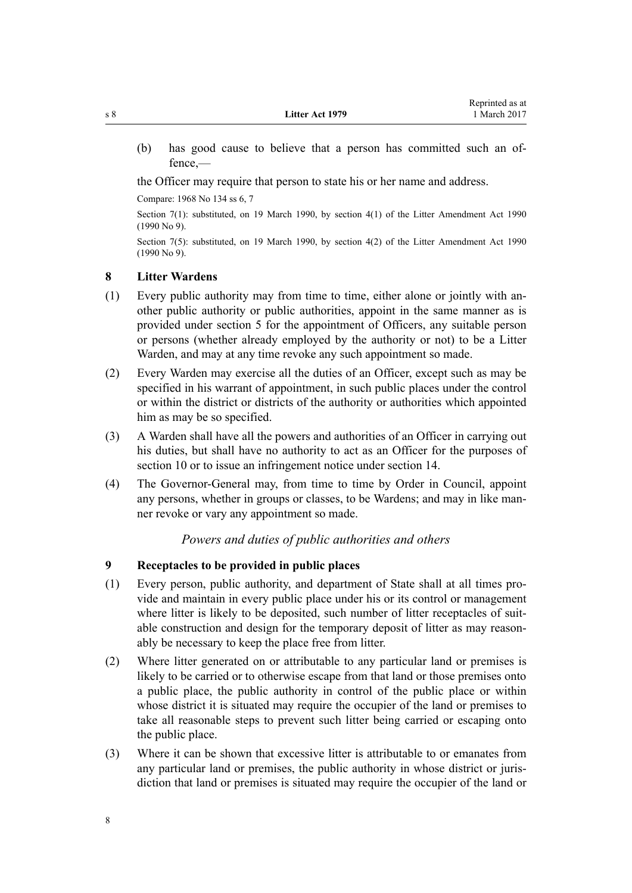<span id="page-7-0"></span>(b) has good cause to believe that a person has committed such an offence,—

the Officer may require that person to state his or her name and address.

Compare: 1968 No 134 ss 6, 7

Section 7(1): substituted, on 19 March 1990, by [section 4\(1\)](http://prd-lgnz-nlb.prd.pco.net.nz/pdflink.aspx?id=DLM203546) of the Litter Amendment Act 1990 (1990 No 9).

Section 7(5): substituted, on 19 March 1990, by [section 4\(2\)](http://prd-lgnz-nlb.prd.pco.net.nz/pdflink.aspx?id=DLM203546) of the Litter Amendment Act 1990 (1990 No 9).

#### **8 Litter Wardens**

- (1) Every public authority may from time to time, either alone or jointly with another public authority or public authorities, appoint in the same manner as is provided under [section 5](#page-4-0) for the appointment of Officers, any suitable person or persons (whether already employed by the authority or not) to be a Litter Warden, and may at any time revoke any such appointment so made.
- (2) Every Warden may exercise all the duties of an Officer, except such as may be specified in his warrant of appointment, in such public places under the control or within the district or districts of the authority or authorities which appointed him as may be so specified.
- (3) A Warden shall have all the powers and authorities of an Officer in carrying out his duties, but shall have no authority to act as an Officer for the purposes of [section 10](#page-8-0) or to issue an infringement notice under [section 14](#page-11-0).
- (4) The Governor-General may, from time to time by Order in Council, appoint any persons, whether in groups or classes, to be Wardens; and may in like manner revoke or vary any appointment so made.

# *Powers and duties of public authorities and others*

# **9 Receptacles to be provided in public places**

- (1) Every person, public authority, and department of State shall at all times provide and maintain in every public place under his or its control or management where litter is likely to be deposited, such number of litter receptacles of suitable construction and design for the temporary deposit of litter as may reasonably be necessary to keep the place free from litter.
- (2) Where litter generated on or attributable to any particular land or premises is likely to be carried or to otherwise escape from that land or those premises onto a public place, the public authority in control of the public place or within whose district it is situated may require the occupier of the land or premises to take all reasonable steps to prevent such litter being carried or escaping onto the public place.
- (3) Where it can be shown that excessive litter is attributable to or emanates from any particular land or premises, the public authority in whose district or jurisdiction that land or premises is situated may require the occupier of the land or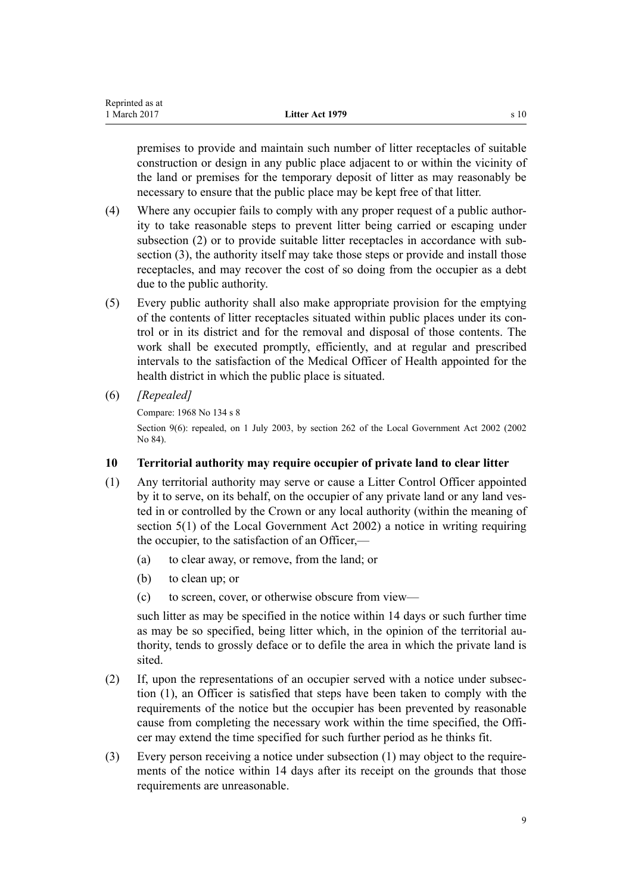<span id="page-8-0"></span>premises to provide and maintain such number of litter receptacles of suitable construction or design in any public place adjacent to or within the vicinity of the land or premises for the temporary deposit of litter as may reasonably be necessary to ensure that the public place may be kept free of that litter.

- (4) Where any occupier fails to comply with any proper request of a public authority to take reasonable steps to prevent litter being carried or escaping under subsection (2) or to provide suitable litter receptacles in accordance with subsection (3), the authority itself may take those steps or provide and install those receptacles, and may recover the cost of so doing from the occupier as a debt due to the public authority.
- (5) Every public authority shall also make appropriate provision for the emptying of the contents of litter receptacles situated within public places under its control or in its district and for the removal and disposal of those contents. The work shall be executed promptly, efficiently, and at regular and prescribed intervals to the satisfaction of the Medical Officer of Health appointed for the health district in which the public place is situated.
- (6) *[Repealed]*

```
Compare: 1968 No 134 s 8
```
Section 9(6): repealed, on 1 July 2003, by [section 262](http://prd-lgnz-nlb.prd.pco.net.nz/pdflink.aspx?id=DLM174088) of the Local Government Act 2002 (2002) No 84).

# **10 Territorial authority may require occupier of private land to clear litter**

- (1) Any territorial authority may serve or cause a Litter Control Officer appointed by it to serve, on its behalf, on the occupier of any private land or any land vested in or controlled by the Crown or any local authority (within the meaning of [section 5\(1\)](http://prd-lgnz-nlb.prd.pco.net.nz/pdflink.aspx?id=DLM170881) of the Local Government Act 2002) a notice in writing requiring the occupier, to the satisfaction of an Officer,—
	- (a) to clear away, or remove, from the land; or
	- (b) to clean up; or
	- (c) to screen, cover, or otherwise obscure from view—

such litter as may be specified in the notice within 14 days or such further time as may be so specified, being litter which, in the opinion of the territorial authority, tends to grossly deface or to defile the area in which the private land is sited.

- (2) If, upon the representations of an occupier served with a notice under subsection (1), an Officer is satisfied that steps have been taken to comply with the requirements of the notice but the occupier has been prevented by reasonable cause from completing the necessary work within the time specified, the Officer may extend the time specified for such further period as he thinks fit.
- (3) Every person receiving a notice under subsection (1) may object to the requirements of the notice within 14 days after its receipt on the grounds that those requirements are unreasonable.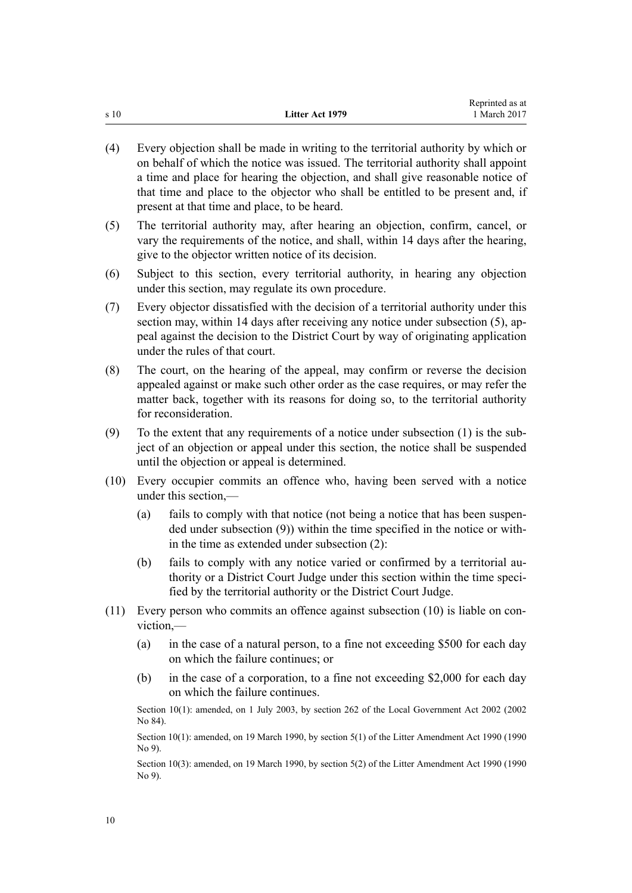|      |                 | Reprinted as at |
|------|-----------------|-----------------|
| s 10 | Litter Act 1979 | 1 March 2017    |

- (4) Every objection shall be made in writing to the territorial authority by which or on behalf of which the notice was issued. The territorial authority shall appoint a time and place for hearing the objection, and shall give reasonable notice of that time and place to the objector who shall be entitled to be present and, if present at that time and place, to be heard.
- (5) The territorial authority may, after hearing an objection, confirm, cancel, or vary the requirements of the notice, and shall, within 14 days after the hearing, give to the objector written notice of its decision.
- (6) Subject to this section, every territorial authority, in hearing any objection under this section, may regulate its own procedure.
- (7) Every objector dissatisfied with the decision of a territorial authority under this section may, within 14 days after receiving any notice under subsection (5), appeal against the decision to the District Court by way of originating application under the rules of that court.
- (8) The court, on the hearing of the appeal, may confirm or reverse the decision appealed against or make such other order as the case requires, or may refer the matter back, together with its reasons for doing so, to the territorial authority for reconsideration.
- (9) To the extent that any requirements of a notice under subsection (1) is the subject of an objection or appeal under this section, the notice shall be suspended until the objection or appeal is determined.
- (10) Every occupier commits an offence who, having been served with a notice under this section,—
	- (a) fails to comply with that notice (not being a notice that has been suspended under subsection (9)) within the time specified in the notice or within the time as extended under subsection (2):
	- (b) fails to comply with any notice varied or confirmed by a territorial authority or a District Court Judge under this section within the time specified by the territorial authority or the District Court Judge.
- (11) Every person who commits an offence against subsection (10) is liable on conviction,—
	- (a) in the case of a natural person, to a fine not exceeding \$500 for each day on which the failure continues; or
	- (b) in the case of a corporation, to a fine not exceeding \$2,000 for each day on which the failure continues.

Section 10(1): amended, on 1 July 2003, by [section 262](http://prd-lgnz-nlb.prd.pco.net.nz/pdflink.aspx?id=DLM174088) of the Local Government Act 2002 (2002 No 84).

Section 10(1): amended, on 19 March 1990, by [section 5\(1\)](http://prd-lgnz-nlb.prd.pco.net.nz/pdflink.aspx?id=DLM203547) of the Litter Amendment Act 1990 (1990 No 9).

Section 10(3): amended, on 19 March 1990, by [section 5\(2\)](http://prd-lgnz-nlb.prd.pco.net.nz/pdflink.aspx?id=DLM203547) of the Litter Amendment Act 1990 (1990) No 9).

10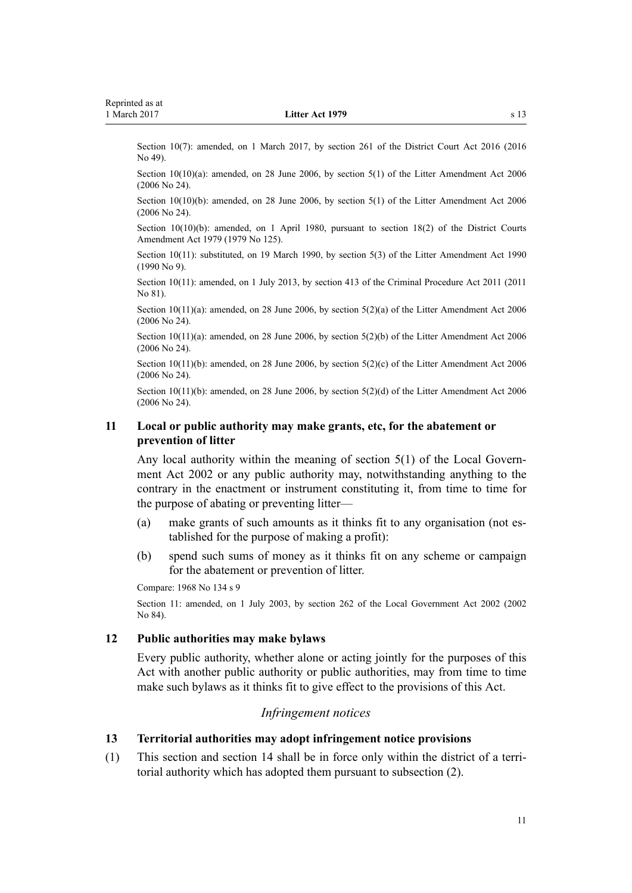<span id="page-10-0"></span>Section 10(7): amended, on 1 March 2017, by [section 261](http://prd-lgnz-nlb.prd.pco.net.nz/pdflink.aspx?id=DLM6942680) of the District Court Act 2016 (2016) No 49).

Section 10(10)(a): amended, on 28 June 2006, by [section 5\(1\)](http://prd-lgnz-nlb.prd.pco.net.nz/pdflink.aspx?id=DLM373586) of the Litter Amendment Act 2006 (2006 No 24).

Section 10(10)(b): amended, on 28 June 2006, by [section 5\(1\)](http://prd-lgnz-nlb.prd.pco.net.nz/pdflink.aspx?id=DLM373586) of the Litter Amendment Act 2006 (2006 No 24).

Section 10(10)(b): amended, on 1 April 1980, pursuant to [section 18\(2\)](http://prd-lgnz-nlb.prd.pco.net.nz/pdflink.aspx?id=DLM35085) of the District Courts Amendment Act 1979 (1979 No 125).

Section 10(11): substituted, on 19 March 1990, by [section 5\(3\)](http://prd-lgnz-nlb.prd.pco.net.nz/pdflink.aspx?id=DLM203547) of the Litter Amendment Act 1990 (1990 No 9).

Section 10(11): amended, on 1 July 2013, by [section 413](http://prd-lgnz-nlb.prd.pco.net.nz/pdflink.aspx?id=DLM3360714) of the Criminal Procedure Act 2011 (2011 No 81).

Section  $10(11)(a)$ : amended, on 28 June 2006, by section  $5(2)(a)$  of the Litter Amendment Act 2006 (2006 No 24).

Section 10(11)(a): amended, on 28 June 2006, by [section 5\(2\)\(b\)](http://prd-lgnz-nlb.prd.pco.net.nz/pdflink.aspx?id=DLM373586) of the Litter Amendment Act 2006 (2006 No 24).

Section 10(11)(b): amended, on 28 June 2006, by [section 5\(2\)\(c\)](http://prd-lgnz-nlb.prd.pco.net.nz/pdflink.aspx?id=DLM373586) of the Litter Amendment Act 2006 (2006 No 24).

Section 10(11)(b): amended, on 28 June 2006, by [section 5\(2\)\(d\)](http://prd-lgnz-nlb.prd.pco.net.nz/pdflink.aspx?id=DLM373586) of the Litter Amendment Act 2006 (2006 No 24).

# **11 Local or public authority may make grants, etc, for the abatement or prevention of litter**

Any local authority within the meaning of [section 5\(1\)](http://prd-lgnz-nlb.prd.pco.net.nz/pdflink.aspx?id=DLM170881) of the Local Government Act 2002 or any public authority may, notwithstanding anything to the contrary in the enactment or instrument constituting it, from time to time for the purpose of abating or preventing litter—

- (a) make grants of such amounts as it thinks fit to any organisation (not established for the purpose of making a profit):
- (b) spend such sums of money as it thinks fit on any scheme or campaign for the abatement or prevention of litter.

```
Compare: 1968 No 134 s 9
```
Section 11: amended, on 1 July 2003, by [section 262](http://prd-lgnz-nlb.prd.pco.net.nz/pdflink.aspx?id=DLM174088) of the Local Government Act 2002 (2002 No 84).

#### **12 Public authorities may make bylaws**

Every public authority, whether alone or acting jointly for the purposes of this Act with another public authority or public authorities, may from time to time make such bylaws as it thinks fit to give effect to the provisions of this Act.

# *Infringement notices*

# **13 Territorial authorities may adopt infringement notice provisions**

(1) This section and [section 14](#page-11-0) shall be in force only within the district of a territorial authority which has adopted them pursuant to subsection (2).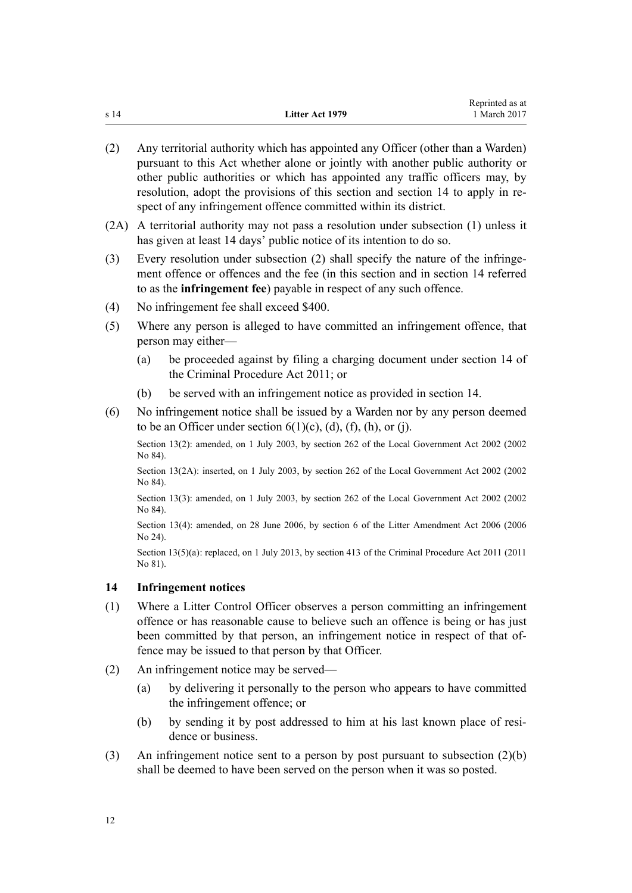<span id="page-11-0"></span>

|      |                 | Reprinted as at |
|------|-----------------|-----------------|
| s 14 | Litter Act 1979 | 1 March 2017    |

- (2) Any territorial authority which has appointed any Officer (other than a Warden) pursuant to this Act whether alone or jointly with another public authority or other public authorities or which has appointed any traffic officers may, by resolution, adopt the provisions of this section and section 14 to apply in respect of any infringement offence committed within its district.
- (2A) A territorial authority may not pass a resolution under subsection (1) unless it has given at least 14 days' public notice of its intention to do so.
- (3) Every resolution under subsection (2) shall specify the nature of the infringement offence or offences and the fee (in this section and in section 14 referred to as the **infringement fee**) payable in respect of any such offence.
- (4) No infringement fee shall exceed \$400.
- (5) Where any person is alleged to have committed an infringement offence, that person may either—
	- (a) be proceeded against by filing a charging document under [section 14](http://prd-lgnz-nlb.prd.pco.net.nz/pdflink.aspx?id=DLM3360057) of the Criminal Procedure Act 2011; or
	- (b) be served with an infringement notice as provided in section 14.
- (6) No infringement notice shall be issued by a Warden nor by any person deemed to be an Officer under section  $6(1)(c)$ ,  $(d)$ ,  $(f)$ ,  $(h)$ , or  $(i)$ .

Section 13(2): amended, on 1 July 2003, by [section 262](http://prd-lgnz-nlb.prd.pco.net.nz/pdflink.aspx?id=DLM174088) of the Local Government Act 2002 (2002) No 84).

Section 13(2A): inserted, on 1 July 2003, by [section 262](http://prd-lgnz-nlb.prd.pco.net.nz/pdflink.aspx?id=DLM174088) of the Local Government Act 2002 (2002) No 84).

Section 13(3): amended, on 1 July 2003, by [section 262](http://prd-lgnz-nlb.prd.pco.net.nz/pdflink.aspx?id=DLM174088) of the Local Government Act 2002 (2002 No 84).

Section 13(4): amended, on 28 June 2006, by [section 6](http://prd-lgnz-nlb.prd.pco.net.nz/pdflink.aspx?id=DLM373587) of the Litter Amendment Act 2006 (2006) No 24).

Section 13(5)(a): replaced, on 1 July 2013, by [section 413](http://prd-lgnz-nlb.prd.pco.net.nz/pdflink.aspx?id=DLM3360714) of the Criminal Procedure Act 2011 (2011) No 81).

# **14 Infringement notices**

- (1) Where a Litter Control Officer observes a person committing an infringement offence or has reasonable cause to believe such an offence is being or has just been committed by that person, an infringement notice in respect of that offence may be issued to that person by that Officer.
- (2) An infringement notice may be served—
	- (a) by delivering it personally to the person who appears to have committed the infringement offence; or
	- (b) by sending it by post addressed to him at his last known place of residence or business.
- (3) An infringement notice sent to a person by post pursuant to subsection (2)(b) shall be deemed to have been served on the person when it was so posted.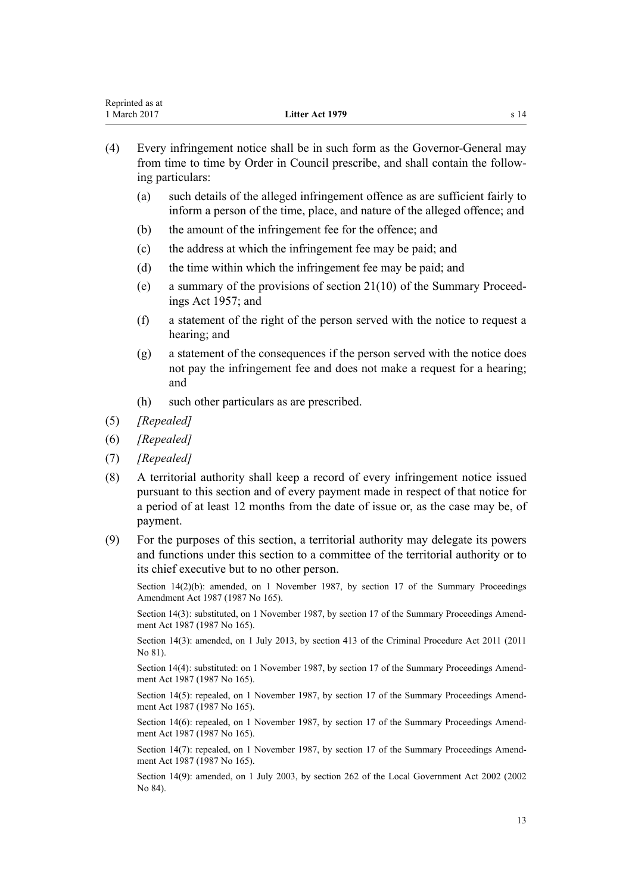| Reprinted as at |                 |  |
|-----------------|-----------------|--|
| 1 March 2017    | Litter Act 1979 |  |
|                 |                 |  |

- (4) Every infringement notice shall be in such form as the Governor-General may from time to time by [Order in Council](http://prd-lgnz-nlb.prd.pco.net.nz/pdflink.aspx?id=DLM405458) prescribe, and shall contain the following particulars:
	- (a) such details of the alleged infringement offence as are sufficient fairly to inform a person of the time, place, and nature of the alleged offence; and
	- (b) the amount of the infringement fee for the offence; and
	- (c) the address at which the infringement fee may be paid; and
	- (d) the time within which the infringement fee may be paid; and
	- (e) a summary of the provisions of [section 21\(10\)](http://prd-lgnz-nlb.prd.pco.net.nz/pdflink.aspx?id=DLM311346) of the Summary Proceedings Act 1957; and
	- (f) a statement of the right of the person served with the notice to request a hearing; and
	- (g) a statement of the consequences if the person served with the notice does not pay the infringement fee and does not make a request for a hearing; and
	- (h) such other particulars as are prescribed.
- (5) *[Repealed]*
- (6) *[Repealed]*
- (7) *[Repealed]*
- (8) A territorial authority shall keep a record of every infringement notice issued pursuant to this section and of every payment made in respect of that notice for a period of at least 12 months from the date of issue or, as the case may be, of payment.
- (9) For the purposes of this section, a territorial authority may delegate its powers and functions under this section to a committee of the territorial authority or to its chief executive but to no other person.

Section 14(2)(b): amended, on 1 November 1987, by [section 17](http://prd-lgnz-nlb.prd.pco.net.nz/pdflink.aspx?id=DLM122239) of the Summary Proceedings Amendment Act 1987 (1987 No 165).

Section 14(3): substituted, on 1 November 1987, by [section 17](http://prd-lgnz-nlb.prd.pco.net.nz/pdflink.aspx?id=DLM122239) of the Summary Proceedings Amendment Act 1987 (1987 No 165).

Section 14(3): amended, on 1 July 2013, by [section 413](http://prd-lgnz-nlb.prd.pco.net.nz/pdflink.aspx?id=DLM3360714) of the Criminal Procedure Act 2011 (2011 No 81).

Section 14(4): substituted: on 1 November 1987, by [section 17](http://prd-lgnz-nlb.prd.pco.net.nz/pdflink.aspx?id=DLM122239) of the Summary Proceedings Amendment Act 1987 (1987 No 165).

Section 14(5): repealed, on 1 November 1987, by [section 17](http://prd-lgnz-nlb.prd.pco.net.nz/pdflink.aspx?id=DLM122239) of the Summary Proceedings Amendment Act 1987 (1987 No 165).

Section 14(6): repealed, on 1 November 1987, by [section 17](http://prd-lgnz-nlb.prd.pco.net.nz/pdflink.aspx?id=DLM122239) of the Summary Proceedings Amendment Act 1987 (1987 No 165).

Section 14(7): repealed, on 1 November 1987, by [section 17](http://prd-lgnz-nlb.prd.pco.net.nz/pdflink.aspx?id=DLM122239) of the Summary Proceedings Amendment Act 1987 (1987 No 165).

Section 14(9): amended, on 1 July 2003, by [section 262](http://prd-lgnz-nlb.prd.pco.net.nz/pdflink.aspx?id=DLM174088) of the Local Government Act 2002 (2002 No 84).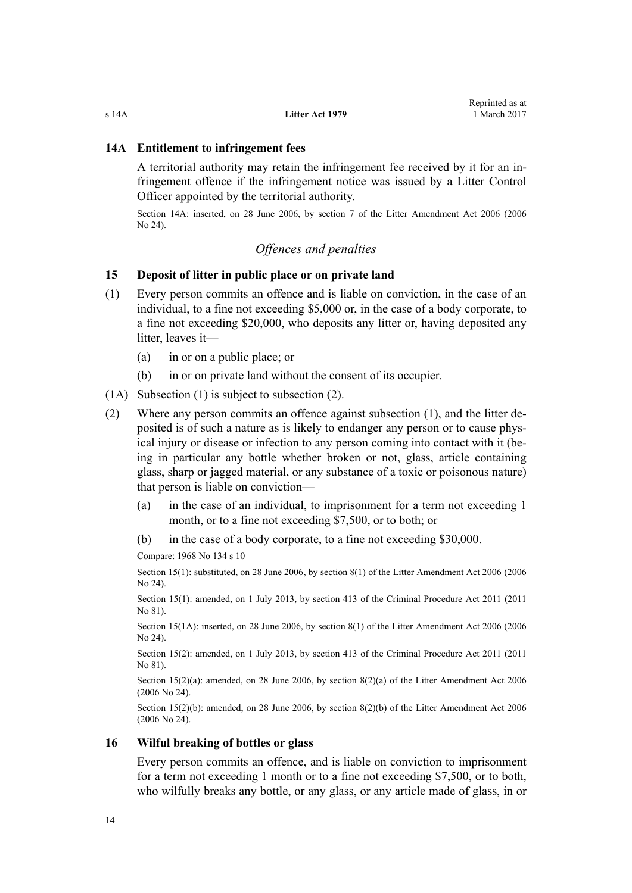#### <span id="page-13-0"></span>**14A Entitlement to infringement fees**

A territorial authority may retain the infringement fee received by it for an infringement offence if the infringement notice was issued by a Litter Control Officer appointed by the territorial authority.

Section 14A: inserted, on 28 June 2006, by [section 7](http://prd-lgnz-nlb.prd.pco.net.nz/pdflink.aspx?id=DLM373588) of the Litter Amendment Act 2006 (2006 No 24).

# *Offences and penalties*

# **15 Deposit of litter in public place or on private land**

- (1) Every person commits an offence and is liable on conviction, in the case of an individual, to a fine not exceeding \$5,000 or, in the case of a body corporate, to a fine not exceeding \$20,000, who deposits any litter or, having deposited any litter, leaves it—
	- (a) in or on a public place; or
	- (b) in or on private land without the consent of its occupier.
- (1A) Subsection (1) is subject to subsection (2).
- (2) Where any person commits an offence against subsection (1), and the litter deposited is of such a nature as is likely to endanger any person or to cause physical injury or disease or infection to any person coming into contact with it (being in particular any bottle whether broken or not, glass, article containing glass, sharp or jagged material, or any substance of a toxic or poisonous nature) that person is liable on conviction—
	- (a) in the case of an individual, to imprisonment for a term not exceeding 1 month, or to a fine not exceeding \$7,500, or to both; or
	- (b) in the case of a body corporate, to a fine not exceeding \$30,000.

Compare: 1968 No 134 s 10

Section 15(1): substituted, on 28 June 2006, by [section 8\(1\)](http://prd-lgnz-nlb.prd.pco.net.nz/pdflink.aspx?id=DLM373590) of the Litter Amendment Act 2006 (2006) No 24).

Section 15(1): amended, on 1 July 2013, by [section 413](http://prd-lgnz-nlb.prd.pco.net.nz/pdflink.aspx?id=DLM3360714) of the Criminal Procedure Act 2011 (2011 No 81).

Section 15(1A): inserted, on 28 June 2006, by [section 8\(1\)](http://prd-lgnz-nlb.prd.pco.net.nz/pdflink.aspx?id=DLM373590) of the Litter Amendment Act 2006 (2006 No 24).

Section 15(2): amended, on 1 July 2013, by [section 413](http://prd-lgnz-nlb.prd.pco.net.nz/pdflink.aspx?id=DLM3360714) of the Criminal Procedure Act 2011 (2011 No 81).

Section 15(2)(a): amended, on 28 June 2006, by [section 8\(2\)\(a\)](http://prd-lgnz-nlb.prd.pco.net.nz/pdflink.aspx?id=DLM373590) of the Litter Amendment Act 2006 (2006 No 24).

Section 15(2)(b): amended, on 28 June 2006, by [section 8\(2\)\(b\)](http://prd-lgnz-nlb.prd.pco.net.nz/pdflink.aspx?id=DLM373590) of the Litter Amendment Act 2006 (2006 No 24).

#### **16 Wilful breaking of bottles or glass**

Every person commits an offence, and is liable on conviction to imprisonment for a term not exceeding 1 month or to a fine not exceeding \$7,500, or to both, who wilfully breaks any bottle, or any glass, or any article made of glass, in or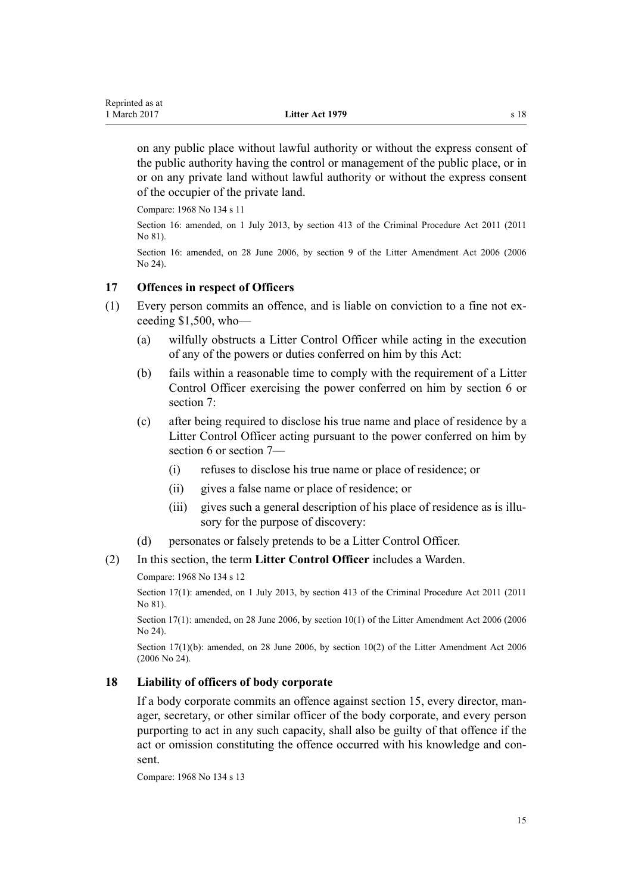<span id="page-14-0"></span>on any public place without lawful authority or without the express consent of the public authority having the control or management of the public place, or in or on any private land without lawful authority or without the express consent of the occupier of the private land.

Compare: 1968 No 134 s 11

Section 16: amended, on 1 July 2013, by [section 413](http://prd-lgnz-nlb.prd.pco.net.nz/pdflink.aspx?id=DLM3360714) of the Criminal Procedure Act 2011 (2011 No 81).

Section 16: amended, on 28 June 2006, by [section 9](http://prd-lgnz-nlb.prd.pco.net.nz/pdflink.aspx?id=DLM373591) of the Litter Amendment Act 2006 (2006 No 24).

# **17 Offences in respect of Officers**

- (1) Every person commits an offence, and is liable on conviction to a fine not exceeding \$1,500, who—
	- (a) wilfully obstructs a Litter Control Officer while acting in the execution of any of the powers or duties conferred on him by this Act:
	- (b) fails within a reasonable time to comply with the requirement of a Litter Control Officer exercising the power conferred on him by [section 6](#page-4-0) or [section 7](#page-6-0):
	- (c) after being required to disclose his true name and place of residence by a Litter Control Officer acting pursuant to the power conferred on him by [section 6](#page-4-0) or [section 7—](#page-6-0)
		- (i) refuses to disclose his true name or place of residence; or
		- (ii) gives a false name or place of residence; or
		- (iii) gives such a general description of his place of residence as is illusory for the purpose of discovery:
	- (d) personates or falsely pretends to be a Litter Control Officer.

# (2) In this section, the term **Litter Control Officer** includes a Warden.

Compare: 1968 No 134 s 12

Section 17(1): amended, on 1 July 2013, by [section 413](http://prd-lgnz-nlb.prd.pco.net.nz/pdflink.aspx?id=DLM3360714) of the Criminal Procedure Act 2011 (2011 No 81).

Section 17(1): amended, on 28 June 2006, by [section 10\(1\)](http://prd-lgnz-nlb.prd.pco.net.nz/pdflink.aspx?id=DLM373592) of the Litter Amendment Act 2006 (2006 No 24).

Section 17(1)(b): amended, on 28 June 2006, by [section 10\(2\)](http://prd-lgnz-nlb.prd.pco.net.nz/pdflink.aspx?id=DLM373592) of the Litter Amendment Act 2006 (2006 No 24).

# **18 Liability of officers of body corporate**

If a body corporate commits an offence against [section 15,](#page-13-0) every director, manager, secretary, or other similar officer of the body corporate, and every person purporting to act in any such capacity, shall also be guilty of that offence if the act or omission constituting the offence occurred with his knowledge and consent.

Compare: 1968 No 134 s 13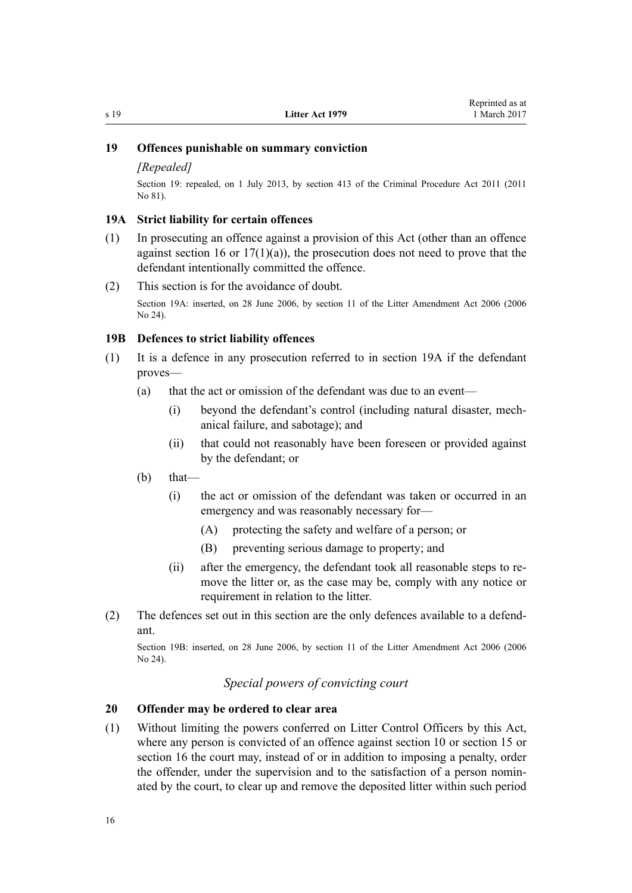# <span id="page-15-0"></span>**19 Offences punishable on summary conviction**

#### *[Repealed]*

Section 19: repealed, on 1 July 2013, by [section 413](http://prd-lgnz-nlb.prd.pco.net.nz/pdflink.aspx?id=DLM3360714) of the Criminal Procedure Act 2011 (2011) No 81).

#### **19A Strict liability for certain offences**

- (1) In prosecuting an offence against a provision of this Act (other than an offence against [section 16](#page-13-0) or  $17(1)(a)$ , the prosecution does not need to prove that the defendant intentionally committed the offence.
- (2) This section is for the avoidance of doubt.

Section 19A: inserted, on 28 June 2006, by [section 11](http://prd-lgnz-nlb.prd.pco.net.nz/pdflink.aspx?id=DLM373593) of the Litter Amendment Act 2006 (2006 No 24).

#### **19B Defences to strict liability offences**

- (1) It is a defence in any prosecution referred to in section 19A if the defendant proves—
	- (a) that the act or omission of the defendant was due to an event—
		- (i) beyond the defendant's control (including natural disaster, mechanical failure, and sabotage); and
		- (ii) that could not reasonably have been foreseen or provided against by the defendant; or
	- (b) that—
		- (i) the act or omission of the defendant was taken or occurred in an emergency and was reasonably necessary for—
			- (A) protecting the safety and welfare of a person; or
			- (B) preventing serious damage to property; and
		- (ii) after the emergency, the defendant took all reasonable steps to remove the litter or, as the case may be, comply with any notice or requirement in relation to the litter.
- (2) The defences set out in this section are the only defences available to a defendant.

Section 19B: inserted, on 28 June 2006, by [section 11](http://prd-lgnz-nlb.prd.pco.net.nz/pdflink.aspx?id=DLM373593) of the Litter Amendment Act 2006 (2006 No 24).

# *Special powers of convicting court*

#### **20 Offender may be ordered to clear area**

(1) Without limiting the powers conferred on Litter Control Officers by this Act, where any person is convicted of an offence against [section 10](#page-8-0) or [section 15](#page-13-0) or [section 16](#page-13-0) the court may, instead of or in addition to imposing a penalty, order the offender, under the supervision and to the satisfaction of a person nominated by the court, to clear up and remove the deposited litter within such period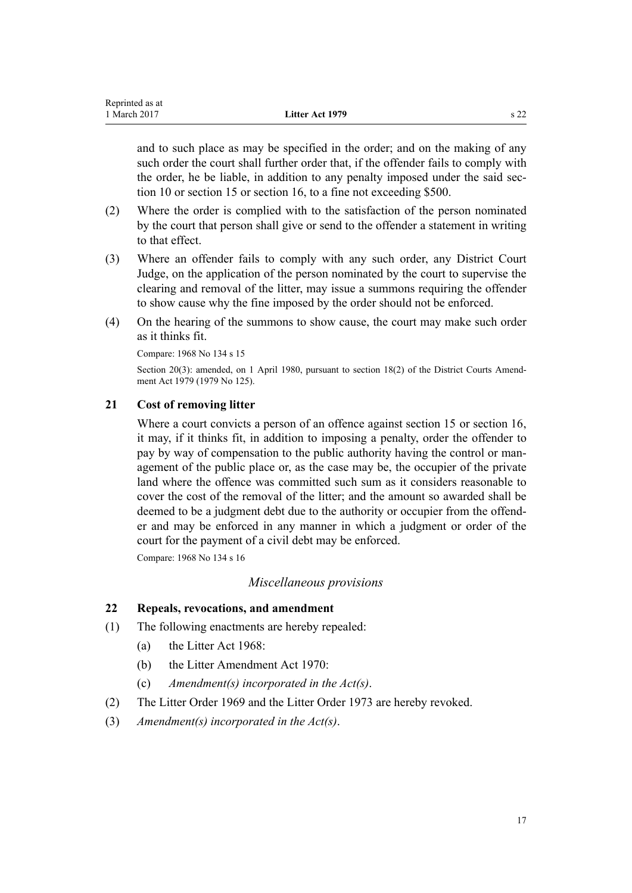<span id="page-16-0"></span>and to such place as may be specified in the order; and on the making of any such order the court shall further order that, if the offender fails to comply with the order, he be liable, in addition to any penalty imposed under the said section 10 or section 15 or section 16, to a fine not exceeding \$500.

- (2) Where the order is complied with to the satisfaction of the person nominated by the court that person shall give or send to the offender a statement in writing to that effect.
- (3) Where an offender fails to comply with any such order, any District Court Judge, on the application of the person nominated by the court to supervise the clearing and removal of the litter, may issue a summons requiring the offender to show cause why the fine imposed by the order should not be enforced.
- (4) On the hearing of the summons to show cause, the court may make such order as it thinks fit.

Compare: 1968 No 134 s 15

Section 20(3): amended, on 1 April 1980, pursuant to [section 18\(2\)](http://prd-lgnz-nlb.prd.pco.net.nz/pdflink.aspx?id=DLM35085) of the District Courts Amendment Act 1979 (1979 No 125).

# **21 Cost of removing litter**

Where a court convicts a person of an offence against [section 15](#page-13-0) or [section 16](#page-13-0), it may, if it thinks fit, in addition to imposing a penalty, order the offender to pay by way of compensation to the public authority having the control or management of the public place or, as the case may be, the occupier of the private land where the offence was committed such sum as it considers reasonable to cover the cost of the removal of the litter; and the amount so awarded shall be deemed to be a judgment debt due to the authority or occupier from the offender and may be enforced in any manner in which a judgment or order of the court for the payment of a civil debt may be enforced.

Compare: 1968 No 134 s 16

# *Miscellaneous provisions*

# **22 Repeals, revocations, and amendment**

- (1) The following enactments are hereby repealed:
	- (a) the Litter Act 1968:
	- (b) the Litter Amendment Act 1970:
	- (c) *Amendment(s) incorporated in the Act(s)*.
- (2) The Litter Order 1969 and the Litter Order 1973 are hereby revoked.
- (3) *Amendment(s) incorporated in the [Act\(s\)](http://prd-lgnz-nlb.prd.pco.net.nz/pdflink.aspx?id=DLM444971)*.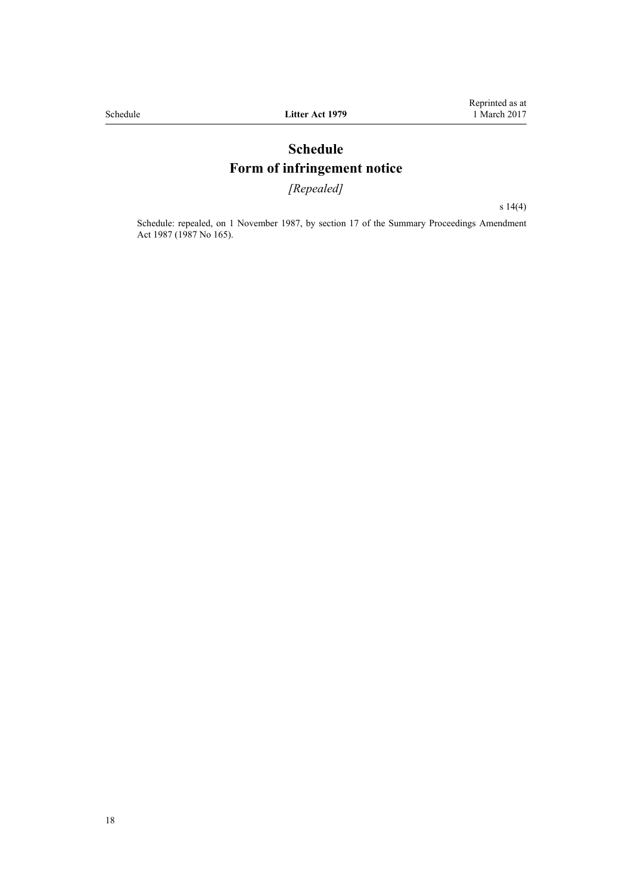# **Schedule Form of infringement notice**

*[Repealed]*

[s 14\(4\)](#page-11-0)

<span id="page-17-0"></span>Schedule: repealed, on 1 November 1987, by [section 17](http://prd-lgnz-nlb.prd.pco.net.nz/pdflink.aspx?id=DLM122239) of the Summary Proceedings Amendment Act 1987 (1987 No 165).